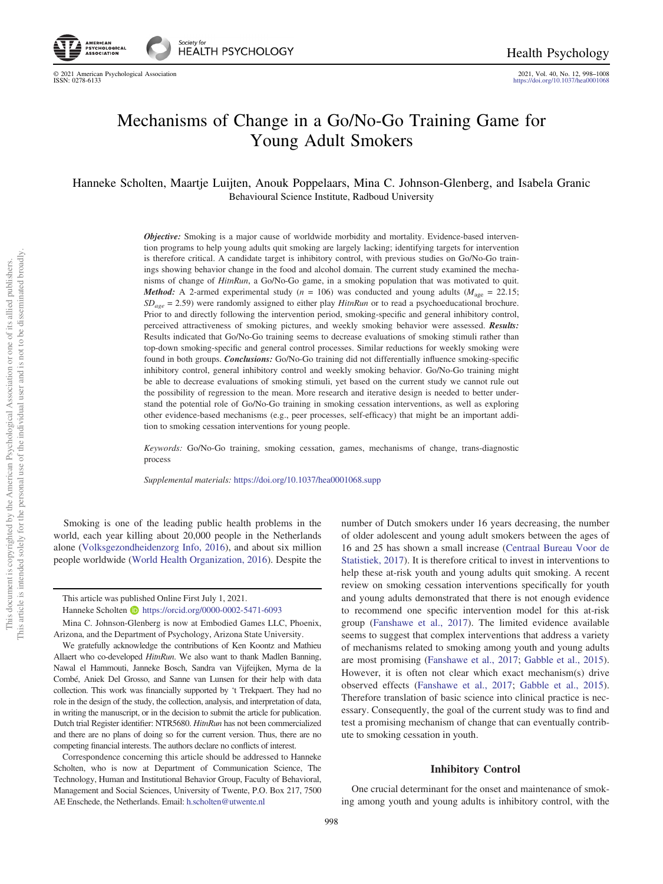© 2021 American Psychological Association 2021, Vol. 40, No. 12, 998–1008 <https://doi.org/10.1037/hea0001068>

# Mechanisms of Change in a Go/No-Go Training Game for Young Adult Smokers

Hanneke Scholten, Maartje Luijten, Anouk Poppelaars, Mina C. Johnson-Glenberg, and Isabela Granic Behavioural Science Institute, Radboud University

> **Objective:** Smoking is a major cause of worldwide morbidity and mortality. Evidence-based intervention programs to help young adults quit smoking are largely lacking; identifying targets for intervention is therefore critical. A candidate target is inhibitory control, with previous studies on Go/No-Go trainings showing behavior change in the food and alcohol domain. The current study examined the mechanisms of change of HitnRun, a Go/No-Go game, in a smoking population that was motivated to quit. **Method:** A 2-armed experimental study ( $n = 106$ ) was conducted and young adults ( $M_{\text{age}} = 22.15$ ;  $SD_{age} = 2.59$ ) were randomly assigned to either play HitnRun or to read a psychoeducational brochure. Prior to and directly following the intervention period, smoking-specific and general inhibitory control, perceived attractiveness of smoking pictures, and weekly smoking behavior were assessed. Results: Results indicated that Go/No-Go training seems to decrease evaluations of smoking stimuli rather than top-down smoking-specific and general control processes. Similar reductions for weekly smoking were found in both groups. **Conclusions:** Go/No-Go training did not differentially influence smoking-specific inhibitory control, general inhibitory control and weekly smoking behavior. Go/No-Go training might be able to decrease evaluations of smoking stimuli, yet based on the current study we cannot rule out the possibility of regression to the mean. More research and iterative design is needed to better understand the potential role of Go/No-Go training in smoking cessation interventions, as well as exploring other evidence-based mechanisms (e.g., peer processes, self-efficacy) that might be an important addition to smoking cessation interventions for young people.

> Keywords: Go/No-Go training, smoking cessation, games, mechanisms of change, trans-diagnostic process

Supplemental materials: <https://doi.org/10.1037/hea0001068.supp>

Smoking is one of the leading public health problems in the world, each year killing about 20,000 people in the Netherlands alone [\(Volksgezondheidenzorg Info, 2016\)](#page-10-0), and about six million people worldwide [\(World Health Organization, 2016](#page-10-1)). Despite the

Correspondence concerning this article should be addressed to Hanneke Scholten, who is now at Department of Communication Science, The Technology, Human and Institutional Behavior Group, Faculty of Behavioral, Management and Social Sciences, University of Twente, P.O. Box 217, 7500 AE Enschede, the Netherlands. Email: [h.scholten@utwente.nl](mailto:h.scholten@utwente.nl)

number of Dutch smokers under 16 years decreasing, the number of older adolescent and young adult smokers between the ages of 16 and 25 has shown a small increase [\(Centraal Bureau Voor de](#page-9-0) [Statistiek, 2017\)](#page-9-0). It is therefore critical to invest in interventions to help these at-risk youth and young adults quit smoking. A recent review on smoking cessation interventions specifically for youth and young adults demonstrated that there is not enough evidence to recommend one specific intervention model for this at-risk group [\(Fanshawe et al., 2017](#page-9-1)). The limited evidence available seems to suggest that complex interventions that address a variety of mechanisms related to smoking among youth and young adults are most promising [\(Fanshawe et al., 2017](#page-9-1); [Gabble et al., 2015\)](#page-9-2). However, it is often not clear which exact mechanism(s) drive observed effects [\(Fanshawe et al., 2017;](#page-9-1) [Gabble et al., 2015\)](#page-9-2). Therefore translation of basic science into clinical practice is necessary. Consequently, the goal of the current study was to find and test a promising mechanism of change that can eventually contribute to smoking cessation in youth.

# Inhibitory Control

One crucial determinant for the onset and maintenance of smoking among youth and young adults is inhibitory control, with the

This article was published Online First July 1, 2021.

Hanneke Scholten **b** <https://orcid.org/0000-0002-5471-6093>

Mina C. Johnson-Glenberg is now at Embodied Games LLC, Phoenix, Arizona, and the Department of Psychology, Arizona State University.

We gratefully acknowledge the contributions of Ken Koontz and Mathieu Allaert who co-developed HitnRun. We also want to thank Madlen Banning, Nawal el Hammouti, Janneke Bosch, Sandra van Vijfeijken, Myrna de la Combé, Aniek Del Grosso, and Sanne van Lunsen for their help with data collection. This work was financially supported by 't Trekpaert. They had no role in the design of the study, the collection, analysis, and interpretation of data, in writing the manuscript, or in the decision to submit the article for publication. Dutch trial Register identifier: NTR5680. HitnRun has not been commercialized and there are no plans of doing so for the current version. Thus, there are no competing financial interests. The authors declare no conflicts of interest.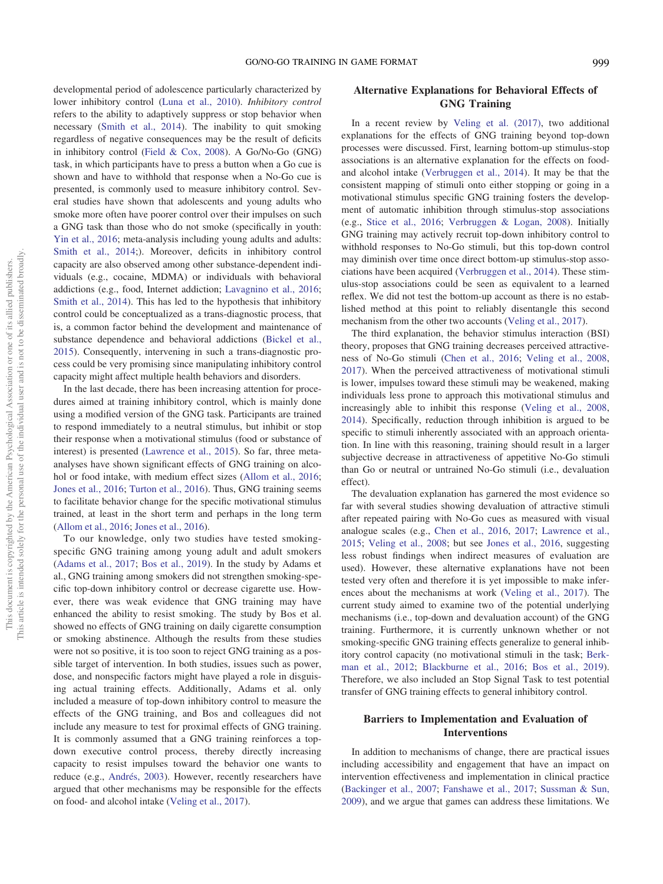developmental period of adolescence particularly characterized by lower inhibitory control [\(Luna et al., 2010](#page-10-2)). Inhibitory control refers to the ability to adaptively suppress or stop behavior when necessary ([Smith et al., 2014](#page-10-3)). The inability to quit smoking regardless of negative consequences may be the result of deficits in inhibitory control ([Field & Cox, 2008](#page-9-3)). A Go/No-Go (GNG) task, in which participants have to press a button when a Go cue is shown and have to withhold that response when a No-Go cue is presented, is commonly used to measure inhibitory control. Several studies have shown that adolescents and young adults who smoke more often have poorer control over their impulses on such a GNG task than those who do not smoke (specifically in youth: [Yin et al., 2016](#page-10-4); meta-analysis including young adults and adults: [Smith et al., 2014](#page-10-3);). Moreover, deficits in inhibitory control capacity are also observed among other substance-dependent individuals (e.g., cocaine, MDMA) or individuals with behavioral addictions (e.g., food, Internet addiction; [Lavagnino et al., 2016;](#page-9-4) [Smith et al., 2014](#page-10-3)). This has led to the hypothesis that inhibitory control could be conceptualized as a trans-diagnostic process, that is, a common factor behind the development and maintenance of substance dependence and behavioral addictions [\(Bickel et al.,](#page-9-5) [2015](#page-9-5)). Consequently, intervening in such a trans-diagnostic process could be very promising since manipulating inhibitory control capacity might affect multiple health behaviors and disorders.

In the last decade, there has been increasing attention for procedures aimed at training inhibitory control, which is mainly done using a modified version of the GNG task. Participants are trained to respond immediately to a neutral stimulus, but inhibit or stop their response when a motivational stimulus (food or substance of interest) is presented [\(Lawrence et al., 2015](#page-10-5)). So far, three metaanalyses have shown significant effects of GNG training on alcohol or food intake, with medium effect sizes [\(Allom et al., 2016;](#page-8-0) [Jones et al., 2016;](#page-9-6) [Turton et al., 2016](#page-10-6)). Thus, GNG training seems to facilitate behavior change for the specific motivational stimulus trained, at least in the short term and perhaps in the long term [\(Allom et al., 2016](#page-8-0); [Jones et al., 2016\)](#page-9-6).

To our knowledge, only two studies have tested smokingspecific GNG training among young adult and adult smokers [\(Adams et al., 2017](#page-8-1); [Bos et al., 2019](#page-9-7)). In the study by Adams et al., GNG training among smokers did not strengthen smoking-specific top-down inhibitory control or decrease cigarette use. However, there was weak evidence that GNG training may have enhanced the ability to resist smoking. The study by Bos et al. showed no effects of GNG training on daily cigarette consumption or smoking abstinence. Although the results from these studies were not so positive, it is too soon to reject GNG training as a possible target of intervention. In both studies, issues such as power, dose, and nonspecific factors might have played a role in disguising actual training effects. Additionally, Adams et al. only included a measure of top-down inhibitory control to measure the effects of the GNG training, and Bos and colleagues did not include any measure to test for proximal effects of GNG training. It is commonly assumed that a GNG training reinforces a topdown executive control process, thereby directly increasing capacity to resist impulses toward the behavior one wants to reduce (e.g., [Andrés, 2003](#page-8-2)). However, recently researchers have argued that other mechanisms may be responsible for the effects on food- and alcohol intake [\(Veling et al., 2017](#page-10-7)).

# Alternative Explanations for Behavioral Effects of GNG Training

In a recent review by [Veling et al. \(2017\),](#page-10-7) two additional explanations for the effects of GNG training beyond top-down processes were discussed. First, learning bottom-up stimulus-stop associations is an alternative explanation for the effects on foodand alcohol intake ([Verbruggen et al., 2014](#page-10-8)). It may be that the consistent mapping of stimuli onto either stopping or going in a motivational stimulus specific GNG training fosters the development of automatic inhibition through stimulus-stop associations (e.g., [Stice et al., 2016](#page-10-9); [Verbruggen & Logan, 2008](#page-10-10)). Initially GNG training may actively recruit top-down inhibitory control to withhold responses to No-Go stimuli, but this top-down control may diminish over time once direct bottom-up stimulus-stop associations have been acquired ([Verbruggen et al., 2014](#page-10-8)). These stimulus-stop associations could be seen as equivalent to a learned reflex. We did not test the bottom-up account as there is no established method at this point to reliably disentangle this second mechanism from the other two accounts ([Veling et al., 2017](#page-10-7)).

The third explanation, the behavior stimulus interaction (BSI) theory, proposes that GNG training decreases perceived attractiveness of No-Go stimuli [\(Chen et al., 2016;](#page-9-8) [Veling et al., 2008,](#page-10-11) [2017](#page-10-7)). When the perceived attractiveness of motivational stimuli is lower, impulses toward these stimuli may be weakened, making individuals less prone to approach this motivational stimulus and increasingly able to inhibit this response [\(Veling et al., 2008,](#page-10-11) [2014](#page-10-12)). Specifically, reduction through inhibition is argued to be specific to stimuli inherently associated with an approach orientation. In line with this reasoning, training should result in a larger subjective decrease in attractiveness of appetitive No-Go stimuli than Go or neutral or untrained No-Go stimuli (i.e., devaluation effect).

The devaluation explanation has garnered the most evidence so far with several studies showing devaluation of attractive stimuli after repeated pairing with No-Go cues as measured with visual analogue scales (e.g., [Chen et al., 2016](#page-9-8), [2017](#page-9-9); [Lawrence et al.,](#page-10-5) [2015;](#page-10-5) [Veling et al., 2008](#page-10-11); but see [Jones et al., 2016,](#page-9-6) suggesting less robust findings when indirect measures of evaluation are used). However, these alternative explanations have not been tested very often and therefore it is yet impossible to make inferences about the mechanisms at work ([Veling et al., 2017\)](#page-10-7). The current study aimed to examine two of the potential underlying mechanisms (i.e., top-down and devaluation account) of the GNG training. Furthermore, it is currently unknown whether or not smoking-specific GNG training effects generalize to general inhibitory control capacity (no motivational stimuli in the task; [Berk](#page-9-10)[man et al., 2012](#page-9-10); [Blackburne et al., 2016;](#page-9-11) [Bos et al., 2019\)](#page-9-7). Therefore, we also included an Stop Signal Task to test potential transfer of GNG training effects to general inhibitory control.

# Barriers to Implementation and Evaluation of Interventions

In addition to mechanisms of change, there are practical issues including accessibility and engagement that have an impact on intervention effectiveness and implementation in clinical practice ([Backinger et al., 2007](#page-8-3); [Fanshawe et al., 2017](#page-9-1); [Sussman & Sun,](#page-10-13) [2009](#page-10-13)), and we argue that games can address these limitations. We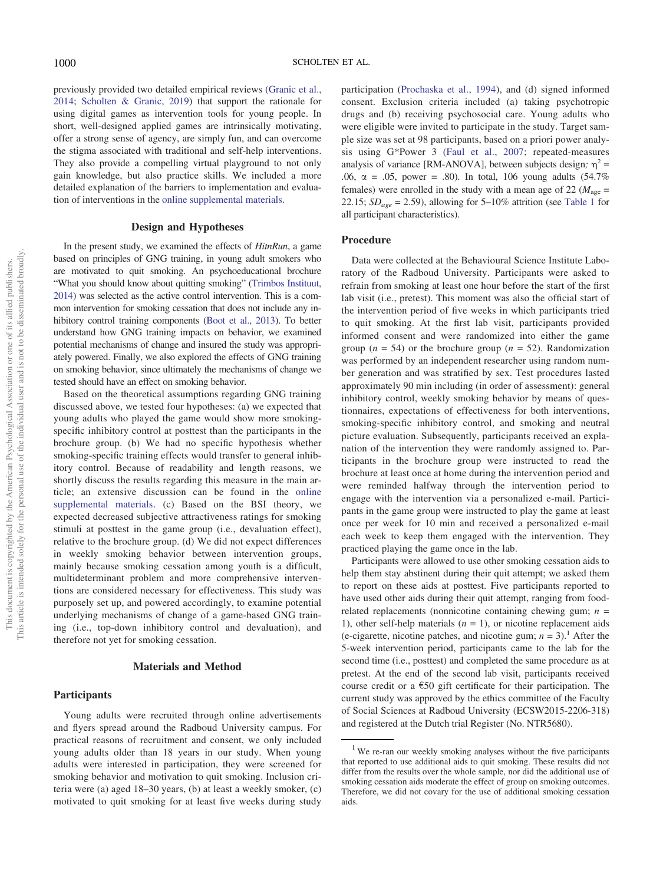previously provided two detailed empirical reviews ([Granic et al.,](#page-9-12) [2014](#page-9-12); [Scholten & Granic, 2019](#page-10-14)) that support the rationale for using digital games as intervention tools for young people. In short, well-designed applied games are intrinsically motivating, offer a strong sense of agency, are simply fun, and can overcome the stigma associated with traditional and self-help interventions. They also provide a compelling virtual playground to not only gain knowledge, but also practice skills. We included a more detailed explanation of the barriers to implementation and evaluation of interventions in the [online supplemental materials.](https://doi.org/10.1037/hea0001068.supp)

# Design and Hypotheses

In the present study, we examined the effects of HitnRun, a game based on principles of GNG training, in young adult smokers who are motivated to quit smoking. An psychoeducational brochure "What you should know about quitting smoking" ([Trimbos Instituut,](#page-10-15) [2014](#page-10-15)) was selected as the active control intervention. This is a common intervention for smoking cessation that does not include any inhibitory control training components [\(Boot et al., 2013\)](#page-9-13). To better understand how GNG training impacts on behavior, we examined potential mechanisms of change and insured the study was appropriately powered. Finally, we also explored the effects of GNG training on smoking behavior, since ultimately the mechanisms of change we tested should have an effect on smoking behavior.

Based on the theoretical assumptions regarding GNG training discussed above, we tested four hypotheses: (a) we expected that young adults who played the game would show more smokingspecific inhibitory control at posttest than the participants in the brochure group. (b) We had no specific hypothesis whether smoking-specific training effects would transfer to general inhibitory control. Because of readability and length reasons, we shortly discuss the results regarding this measure in the main article; an extensive discussion can be found in the [online](https://doi.org/10.1037/hea0001068.supp) [supplemental materials](https://doi.org/10.1037/hea0001068.supp). (c) Based on the BSI theory, we expected decreased subjective attractiveness ratings for smoking stimuli at posttest in the game group (i.e., devaluation effect), relative to the brochure group. (d) We did not expect differences in weekly smoking behavior between intervention groups, mainly because smoking cessation among youth is a difficult, multideterminant problem and more comprehensive interventions are considered necessary for effectiveness. This study was purposely set up, and powered accordingly, to examine potential underlying mechanisms of change of a game-based GNG training (i.e., top-down inhibitory control and devaluation), and therefore not yet for smoking cessation.

# Materials and Method

#### **Participants**

Young adults were recruited through online advertisements and flyers spread around the Radboud University campus. For practical reasons of recruitment and consent, we only included young adults older than 18 years in our study. When young adults were interested in participation, they were screened for smoking behavior and motivation to quit smoking. Inclusion criteria were (a) aged 18–30 years, (b) at least a weekly smoker, (c) motivated to quit smoking for at least five weeks during study

participation [\(Prochaska et al., 1994](#page-10-16)), and (d) signed informed consent. Exclusion criteria included (a) taking psychotropic drugs and (b) receiving psychosocial care. Young adults who were eligible were invited to participate in the study. Target sample size was set at 98 participants, based on a priori power analysis using G\*Power 3 [\(Faul et al., 2007](#page-9-14); repeated-measures analysis of variance [RM-ANOVA], between subjects design;  $\eta^2$  = .06,  $\alpha = .05$ , power = .80). In total, 106 young adults (54.7%) females) were enrolled in the study with a mean age of 22 ( $M_{\text{age}}$  = 22.15;  $SD_{age} = 2.59$ ), allowing for 5–10% attrition (see [Table 1](#page-3-0) for all participant characteristics).

#### Procedure

Data were collected at the Behavioural Science Institute Laboratory of the Radboud University. Participants were asked to refrain from smoking at least one hour before the start of the first lab visit (i.e., pretest). This moment was also the official start of the intervention period of five weeks in which participants tried to quit smoking. At the first lab visit, participants provided informed consent and were randomized into either the game group ( $n = 54$ ) or the brochure group ( $n = 52$ ). Randomization was performed by an independent researcher using random number generation and was stratified by sex. Test procedures lasted approximately 90 min including (in order of assessment): general inhibitory control, weekly smoking behavior by means of questionnaires, expectations of effectiveness for both interventions, smoking-specific inhibitory control, and smoking and neutral picture evaluation. Subsequently, participants received an explanation of the intervention they were randomly assigned to. Participants in the brochure group were instructed to read the brochure at least once at home during the intervention period and were reminded halfway through the intervention period to engage with the intervention via a personalized e-mail. Participants in the game group were instructed to play the game at least once per week for 10 min and received a personalized e-mail each week to keep them engaged with the intervention. They practiced playing the game once in the lab.

Participants were allowed to use other smoking cessation aids to help them stay abstinent during their quit attempt; we asked them to report on these aids at posttest. Five participants reported to have used other aids during their quit attempt, ranging from foodrelated replacements (nonnicotine containing chewing gum;  $n =$ 1), other self-help materials  $(n = 1)$ , or nicotine replacement aids (e-cigarette, nicotine patches, and nicotine gum;  $n = 3$ ).<sup>[1](#page-2-0)</sup> After the 5-week intervention period, participants came to the lab for the second time (i.e., posttest) and completed the same procedure as at pretest. At the end of the second lab visit, participants received course credit or a  $\epsilon$ 50 gift certificate for their participation. The current study was approved by the ethics committee of the Faculty of Social Sciences at Radboud University (ECSW2015-2206-318) and registered at the Dutch trial Register (No. NTR5680).

<span id="page-2-0"></span><sup>&</sup>lt;sup>1</sup> We re-ran our weekly smoking analyses without the five participants that reported to use additional aids to quit smoking. These results did not differ from the results over the whole sample, nor did the additional use of smoking cessation aids moderate the effect of group on smoking outcomes. Therefore, we did not covary for the use of additional smoking cessation aids.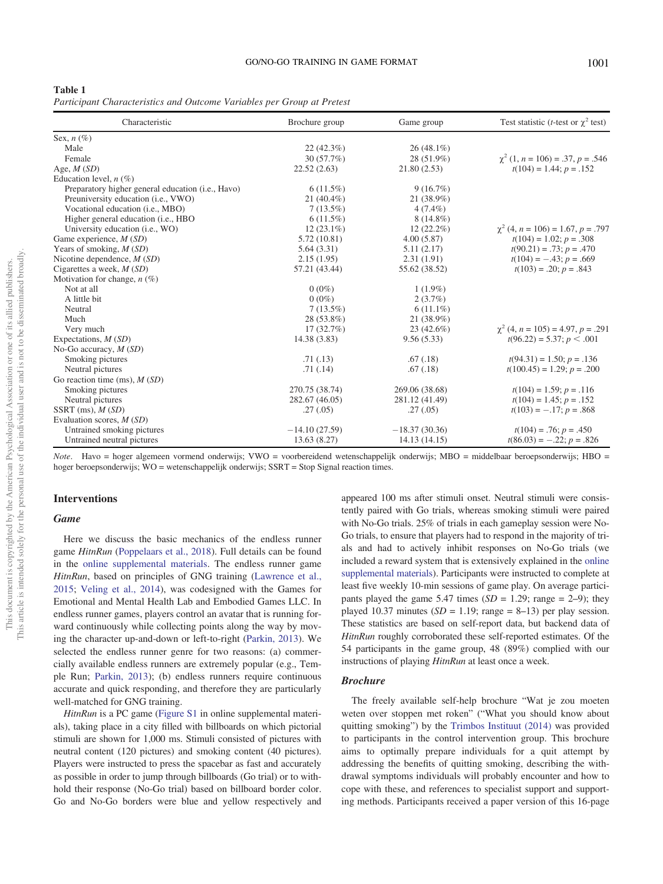<span id="page-3-0"></span>

|--|--|

Participant Characteristics and Outcome Variables per Group at Pretest

| Characteristic                                             | Brochure group  | Game group      | Test statistic ( <i>t</i> -test or $\gamma^2$ test) |
|------------------------------------------------------------|-----------------|-----------------|-----------------------------------------------------|
| Sex, $n(\%)$                                               |                 |                 |                                                     |
| Male                                                       | $22(42.3\%)$    | $26(48.1\%)$    |                                                     |
| Female                                                     | 30(57.7%)       | 28 (51.9%)      | $\chi^2$ (1, n = 106) = .37, p = .546               |
| Age, $M(SD)$                                               | 22.52(2.63)     | 21.80(2.53)     | $t(104) = 1.44$ ; $p = .152$                        |
| Education level, $n$ (%)                                   |                 |                 |                                                     |
| Preparatory higher general education ( <i>i.e.</i> , Havo) | 6(11.5%)        | 9(16.7%)        |                                                     |
| Preuniversity education (i.e., VWO)                        | $21(40.4\%)$    | 21 (38.9%)      |                                                     |
| Vocational education (i.e., MBO)                           | $7(13.5\%)$     | $4(7.4\%)$      |                                                     |
| Higher general education ( <i>i.e.</i> , HBO               | $6(11.5\%)$     | $8(14.8\%)$     |                                                     |
| University education (i.e., WO)                            | $12(23.1\%)$    | $12(22.2\%)$    | $\chi^2$ (4, n = 106) = 1.67, p = .797              |
| Game experience, $M(SD)$                                   | 5.72(10.81)     | 4.00(5.87)      | $t(104) = 1.02$ ; $p = .308$                        |
| Years of smoking, $M(SD)$                                  | 5.64(3.31)      | 5.11(2.17)      | $t(90.21) = .73$ ; $p = .470$                       |
| Nicotine dependence, $M(SD)$                               | 2.15(1.95)      | 2.31(1.91)      | $t(104) = -.43$ ; $p = .669$                        |
| Cigarettes a week, $M(SD)$                                 | 57.21 (43.44)   | 55.62 (38.52)   | $t(103) = .20; p = .843$                            |
| Motivation for change, $n(\%)$                             |                 |                 |                                                     |
| Not at all                                                 | $0(0\%)$        | $1(1.9\%)$      |                                                     |
| A little bit                                               | $0(0\%)$        | 2(3.7%)         |                                                     |
| Neutral                                                    | $7(13.5\%)$     | $6(11.1\%)$     |                                                     |
| Much                                                       | 28 (53.8%)      | 21 (38.9%)      |                                                     |
| Very much                                                  | 17(32.7%)       | 23 (42.6%)      | $\chi^2$ (4, n = 105) = 4.97, p = .291              |
| Expectations, $M(SD)$                                      | 14.38 (3.83)    | 9.56(5.33)      | $t(96.22) = 5.37; p < .001$                         |
| No-Go accuracy, $M(SD)$                                    |                 |                 |                                                     |
| Smoking pictures                                           | .71(.13)        | .67(.18)        | $t(94.31) = 1.50$ ; $p = .136$                      |
| Neutral pictures                                           | .71(.14)        | .67(.18)        | $t(100.45) = 1.29$ ; $p = .200$                     |
| Go reaction time (ms), $M(SD)$                             |                 |                 |                                                     |
| Smoking pictures                                           | 270.75 (38.74)  | 269.06 (38.68)  | $t(104) = 1.59$ ; $p = .116$                        |
| Neutral pictures                                           | 282.67 (46.05)  | 281.12 (41.49)  | $t(104) = 1.45$ ; $p = .152$                        |
| SSRT $(ms), M(SD)$                                         | .27(.05)        | .27(.05)        | $t(103) = -.17$ ; $p = .868$                        |
| Evaluation scores, M (SD)                                  |                 |                 |                                                     |
| Untrained smoking pictures                                 | $-14.10(27.59)$ | $-18.37(30.36)$ | $t(104) = .76$ ; $p = .450$                         |
| Untrained neutral pictures                                 | 13.63(8.27)     | 14.13 (14.15)   | $t(86.03) = -.22$ ; $p = .826$                      |

Note. Havo = hoger algemeen vormend onderwijs; VWO = voorbereidend wetenschappelijk onderwijs; MBO = middelbaar beroepsonderwijs; HBO = hoger beroepsonderwijs; WO = wetenschappelijk onderwijs; SSRT = Stop Signal reaction times.

# Interventions

# **Game**

Here we discuss the basic mechanics of the endless runner game HitnRun [\(Poppelaars et al., 2018](#page-10-17)). Full details can be found in the [online supplemental materials.](https://doi.org/10.1037/hea0001068.supp) The endless runner game HitnRun, based on principles of GNG training [\(Lawrence et al.,](#page-10-5) [2015](#page-10-5); [Veling et al., 2014](#page-10-12)), was codesigned with the Games for Emotional and Mental Health Lab and Embodied Games LLC. In endless runner games, players control an avatar that is running forward continuously while collecting points along the way by moving the character up-and-down or left-to-right ([Parkin, 2013](#page-10-18)). We selected the endless runner genre for two reasons: (a) commercially available endless runners are extremely popular (e.g., Temple Run; [Parkin, 2013\)](#page-10-18); (b) endless runners require continuous accurate and quick responding, and therefore they are particularly well-matched for GNG training.

HitnRun is a PC game [\(Figure S1](https://doi.org/10.1037/hea0001068.supp) in online supplemental materials), taking place in a city filled with billboards on which pictorial stimuli are shown for 1,000 ms. Stimuli consisted of pictures with neutral content (120 pictures) and smoking content (40 pictures). Players were instructed to press the spacebar as fast and accurately as possible in order to jump through billboards (Go trial) or to withhold their response (No-Go trial) based on billboard border color. Go and No-Go borders were blue and yellow respectively and appeared 100 ms after stimuli onset. Neutral stimuli were consistently paired with Go trials, whereas smoking stimuli were paired with No-Go trials. 25% of trials in each gameplay session were No-Go trials, to ensure that players had to respond in the majority of trials and had to actively inhibit responses on No-Go trials (we included a reward system that is extensively explained in the [online](https://doi.org/10.1037/hea0001068.supp) [supplemental materials\)](https://doi.org/10.1037/hea0001068.supp). Participants were instructed to complete at least five weekly 10-min sessions of game play. On average participants played the game 5.47 times  $(SD = 1.29$ ; range = 2–9); they played 10.37 minutes ( $SD = 1.19$ ; range = 8–13) per play session. These statistics are based on self-report data, but backend data of HitnRun roughly corroborated these self-reported estimates. Of the 54 participants in the game group, 48 (89%) complied with our instructions of playing HitnRun at least once a week.

#### **Brochure**

The freely available self-help brochure "Wat je zou moeten weten over stoppen met roken" ("What you should know about quitting smoking") by the [Trimbos Instituut \(2014\)](#page-10-15) was provided to participants in the control intervention group. This brochure aims to optimally prepare individuals for a quit attempt by addressing the benefits of quitting smoking, describing the withdrawal symptoms individuals will probably encounter and how to cope with these, and references to specialist support and supporting methods. Participants received a paper version of this 16-page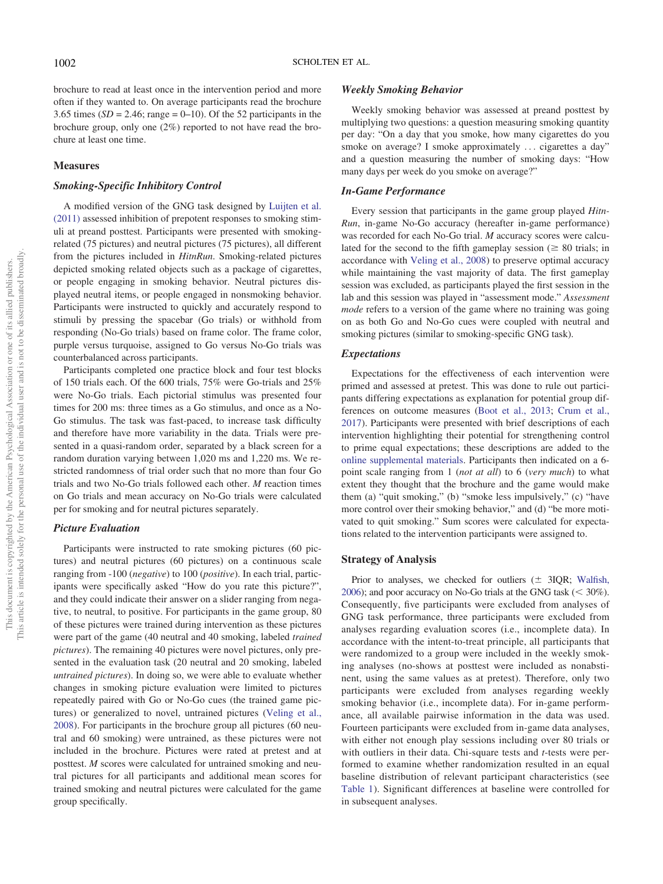brochure to read at least once in the intervention period and more often if they wanted to. On average participants read the brochure 3.65 times ( $SD = 2.46$ ; range = 0–10). Of the 52 participants in the brochure group, only one (2%) reported to not have read the brochure at least one time.

# **Measures**

# Smoking-Specific Inhibitory Control

A modified version of the GNG task designed by [Luijten et al.](#page-10-19) [\(2011\)](#page-10-19) assessed inhibition of prepotent responses to smoking stimuli at preand posttest. Participants were presented with smokingrelated (75 pictures) and neutral pictures (75 pictures), all different from the pictures included in HitnRun. Smoking-related pictures depicted smoking related objects such as a package of cigarettes, or people engaging in smoking behavior. Neutral pictures displayed neutral items, or people engaged in nonsmoking behavior. Participants were instructed to quickly and accurately respond to stimuli by pressing the spacebar (Go trials) or withhold from responding (No-Go trials) based on frame color. The frame color, purple versus turquoise, assigned to Go versus No-Go trials was counterbalanced across participants.

Participants completed one practice block and four test blocks of 150 trials each. Of the 600 trials, 75% were Go-trials and 25% were No-Go trials. Each pictorial stimulus was presented four times for 200 ms: three times as a Go stimulus, and once as a No-Go stimulus. The task was fast-paced, to increase task difficulty and therefore have more variability in the data. Trials were presented in a quasi-random order, separated by a black screen for a random duration varying between 1,020 ms and 1,220 ms. We restricted randomness of trial order such that no more than four Go trials and two No-Go trials followed each other. M reaction times on Go trials and mean accuracy on No-Go trials were calculated per for smoking and for neutral pictures separately.

# Picture Evaluation

Participants were instructed to rate smoking pictures (60 pictures) and neutral pictures (60 pictures) on a continuous scale ranging from -100 (negative) to 100 (positive). In each trial, participants were specifically asked "How do you rate this picture?", and they could indicate their answer on a slider ranging from negative, to neutral, to positive. For participants in the game group, 80 of these pictures were trained during intervention as these pictures were part of the game (40 neutral and 40 smoking, labeled trained pictures). The remaining 40 pictures were novel pictures, only presented in the evaluation task (20 neutral and 20 smoking, labeled untrained pictures). In doing so, we were able to evaluate whether changes in smoking picture evaluation were limited to pictures repeatedly paired with Go or No-Go cues (the trained game pictures) or generalized to novel, untrained pictures [\(Veling et al.,](#page-10-11) [2008](#page-10-11)). For participants in the brochure group all pictures (60 neutral and 60 smoking) were untrained, as these pictures were not included in the brochure. Pictures were rated at pretest and at posttest. M scores were calculated for untrained smoking and neutral pictures for all participants and additional mean scores for trained smoking and neutral pictures were calculated for the game group specifically.

### Weekly Smoking Behavior

Weekly smoking behavior was assessed at preand posttest by multiplying two questions: a question measuring smoking quantity per day: "On a day that you smoke, how many cigarettes do you smoke on average? I smoke approximately ... cigarettes a day" and a question measuring the number of smoking days: "How many days per week do you smoke on average?"

#### In-Game Performance

Every session that participants in the game group played *Hitn*-Run, in-game No-Go accuracy (hereafter in-game performance) was recorded for each No-Go trial. M accuracy scores were calculated for the second to the fifth gameplay session ( $\geq 80$  trials; in accordance with [Veling et al., 2008\)](#page-10-11) to preserve optimal accuracy while maintaining the vast majority of data. The first gameplay session was excluded, as participants played the first session in the lab and this session was played in "assessment mode." Assessment mode refers to a version of the game where no training was going on as both Go and No-Go cues were coupled with neutral and smoking pictures (similar to smoking-specific GNG task).

#### Expectations

Expectations for the effectiveness of each intervention were primed and assessed at pretest. This was done to rule out participants differing expectations as explanation for potential group differences on outcome measures [\(Boot et al., 2013](#page-9-13); [Crum et al.,](#page-9-15) [2017](#page-9-15)). Participants were presented with brief descriptions of each intervention highlighting their potential for strengthening control to prime equal expectations; these descriptions are added to the [online supplemental materials](https://doi.org/10.1037/hea0001068.supp). Participants then indicated on a 6 point scale ranging from 1 (not at all) to 6 (very much) to what extent they thought that the brochure and the game would make them (a) "quit smoking," (b) "smoke less impulsively," (c) "have more control over their smoking behavior," and (d) "be more motivated to quit smoking." Sum scores were calculated for expectations related to the intervention participants were assigned to.

#### Strategy of Analysis

Prior to analyses, we checked for outliers  $(\pm 3IQR;$  [Wal](#page-10-20)fish, [2006](#page-10-20)); and poor accuracy on No-Go trials at the GNG task  $(< 30\%)$ . Consequently, five participants were excluded from analyses of GNG task performance, three participants were excluded from analyses regarding evaluation scores (i.e., incomplete data). In accordance with the intent-to-treat principle, all participants that were randomized to a group were included in the weekly smoking analyses (no-shows at posttest were included as nonabstinent, using the same values as at pretest). Therefore, only two participants were excluded from analyses regarding weekly smoking behavior (i.e., incomplete data). For in-game performance, all available pairwise information in the data was used. Fourteen participants were excluded from in-game data analyses, with either not enough play sessions including over 80 trials or with outliers in their data. Chi-square tests and  $t$ -tests were performed to examine whether randomization resulted in an equal baseline distribution of relevant participant characteristics (see [Table 1\)](#page-3-0). Significant differences at baseline were controlled for in subsequent analyses.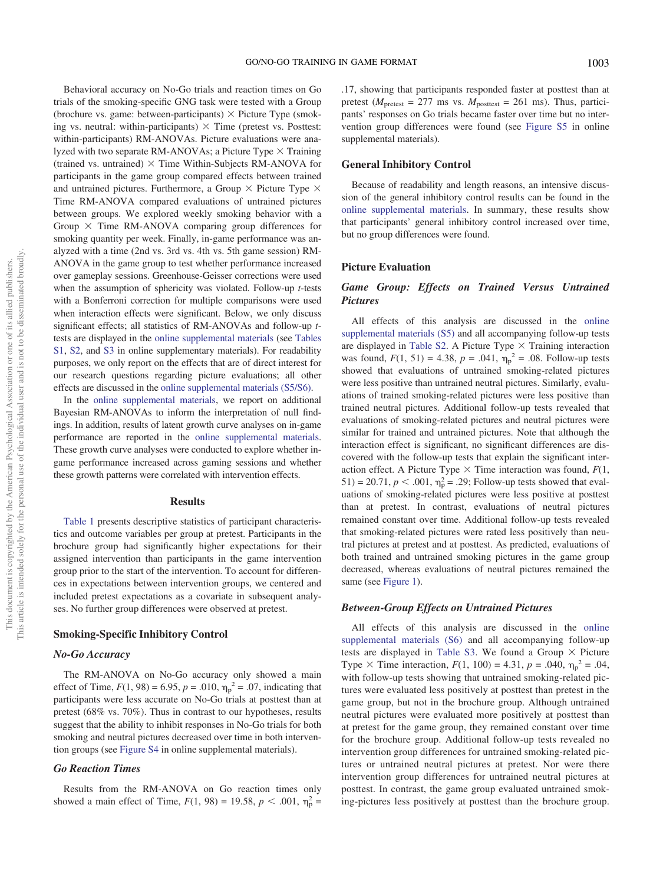Behavioral accuracy on No-Go trials and reaction times on Go trials of the smoking-specific GNG task were tested with a Group (brochure vs. game: between-participants)  $\times$  Picture Type (smoking vs. neutral: within-participants)  $\times$  Time (pretest vs. Posttest: within-participants) RM-ANOVAs. Picture evaluations were analyzed with two separate RM-ANOVAs; a Picture Type  $\times$  Training (trained vs. untrained)  $\times$  Time Within-Subjects RM-ANOVA for participants in the game group compared effects between trained and untrained pictures. Furthermore, a Group  $\times$  Picture Type  $\times$ Time RM-ANOVA compared evaluations of untrained pictures between groups. We explored weekly smoking behavior with a Group  $\times$  Time RM-ANOVA comparing group differences for smoking quantity per week. Finally, in-game performance was analyzed with a time (2nd vs. 3rd vs. 4th vs. 5th game session) RM-ANOVA in the game group to test whether performance increased over gameplay sessions. Greenhouse-Geisser corrections were used when the assumption of sphericity was violated. Follow-up *t*-tests with a Bonferroni correction for multiple comparisons were used when interaction effects were significant. Below, we only discuss significant effects; all statistics of RM-ANOVAs and follow-up ttests are displayed in the [online supplemental materials](https://doi.org/10.1037/hea0001068.supp) (see [Tables](https://doi.org/10.1037/hea0001068.supp) [S1](https://doi.org/10.1037/hea0001068.supp), [S2,](https://doi.org/10.1037/hea0001068.supp) and [S3](https://doi.org/10.1037/hea0001068.supp) in online supplementary materials). For readability purposes, we only report on the effects that are of direct interest for our research questions regarding picture evaluations; all other effects are discussed in the [online supplemental materials \(S5/S6\).](https://doi.org/10.1037/hea0001068.supp)

In the [online supplemental materials](https://doi.org/10.1037/hea0001068.supp), we report on additional Bayesian RM-ANOVAs to inform the interpretation of null findings. In addition, results of latent growth curve analyses on in-game performance are reported in the [online supplemental materials.](https://doi.org/10.1037/hea0001068.supp) These growth curve analyses were conducted to explore whether ingame performance increased across gaming sessions and whether these growth patterns were correlated with intervention effects.

#### **Results**

[Table 1](#page-3-0) presents descriptive statistics of participant characteristics and outcome variables per group at pretest. Participants in the brochure group had significantly higher expectations for their assigned intervention than participants in the game intervention group prior to the start of the intervention. To account for differences in expectations between intervention groups, we centered and included pretest expectations as a covariate in subsequent analyses. No further group differences were observed at pretest.

### Smoking-Specific Inhibitory Control

#### No-Go Accuracy

The RM-ANOVA on No-Go accuracy only showed a main effect of Time,  $F(1, 98) = 6.95$ ,  $p = .010$ ,  $\eta_p^2 = .07$ , indicating that participants were less accurate on No-Go trials at posttest than at pretest (68% vs. 70%). Thus in contrast to our hypotheses, results suggest that the ability to inhibit responses in No-Go trials for both smoking and neutral pictures decreased over time in both intervention groups (see [Figure S4](https://doi.org/10.1037/hea0001068.supp) in online supplemental materials).

# Go Reaction Times

Results from the RM-ANOVA on Go reaction times only showed a main effect of Time,  $F(1, 98) = 19.58$ ,  $p < .001$ ,  $\eta_p^2 =$ 

.17, showing that participants responded faster at posttest than at pretest ( $M<sub>pretest</sub> = 277$  ms vs.  $M<sub>posttest</sub> = 261$  ms). Thus, participants' responses on Go trials became faster over time but no intervention group differences were found (see [Figure S5](https://doi.org/10.1037/hea0001068.supp) in online supplemental materials).

#### General Inhibitory Control

Because of readability and length reasons, an intensive discussion of the general inhibitory control results can be found in the [online supplemental materials.](https://doi.org/10.1037/hea0001068.supp) In summary, these results show that participants' general inhibitory control increased over time, but no group differences were found.

#### Picture Evaluation

# Game Group: Effects on Trained Versus Untrained **Pictures**

All effects of this analysis are discussed in the [online](https://doi.org/10.1037/hea0001068.supp) [supplemental materials \(S5\)](https://doi.org/10.1037/hea0001068.supp) and all accompanying follow-up tests are displayed in [Table S2.](https://doi.org/10.1037/hea0001068.supp) A Picture Type  $\times$  Training interaction was found,  $F(1, 51) = 4.38$ ,  $p = .041$ ,  $\eta_p^2 = .08$ . Follow-up tests showed that evaluations of untrained smoking-related pictures were less positive than untrained neutral pictures. Similarly, evaluations of trained smoking-related pictures were less positive than trained neutral pictures. Additional follow-up tests revealed that evaluations of smoking-related pictures and neutral pictures were similar for trained and untrained pictures. Note that although the interaction effect is significant, no significant differences are discovered with the follow-up tests that explain the significant interaction effect. A Picture Type  $\times$  Time interaction was found,  $F(1,$ 51) = 20.71,  $p < .001$ ,  $\eta_p^2 = .29$ ; Follow-up tests showed that evaluations of smoking-related pictures were less positive at posttest than at pretest. In contrast, evaluations of neutral pictures remained constant over time. Additional follow-up tests revealed that smoking-related pictures were rated less positively than neutral pictures at pretest and at posttest. As predicted, evaluations of both trained and untrained smoking pictures in the game group decreased, whereas evaluations of neutral pictures remained the same (see [Figure 1\)](#page-6-0).

# Between-Group Effects on Untrained Pictures

All effects of this analysis are discussed in the [online](https://doi.org/10.1037/hea0001068.supp) [supplemental materials \(S6\)](https://doi.org/10.1037/hea0001068.supp) and all accompanying follow-up tests are displayed in [Table S3.](https://doi.org/10.1037/hea0001068.supp) We found a Group  $\times$  Picture Type  $\times$  Time interaction,  $F(1, 100) = 4.31$ ,  $p = .040$ ,  $\eta_p^2 = .04$ , with follow-up tests showing that untrained smoking-related pictures were evaluated less positively at posttest than pretest in the game group, but not in the brochure group. Although untrained neutral pictures were evaluated more positively at posttest than at pretest for the game group, they remained constant over time for the brochure group. Additional follow-up tests revealed no intervention group differences for untrained smoking-related pictures or untrained neutral pictures at pretest. Nor were there intervention group differences for untrained neutral pictures at posttest. In contrast, the game group evaluated untrained smoking-pictures less positively at posttest than the brochure group.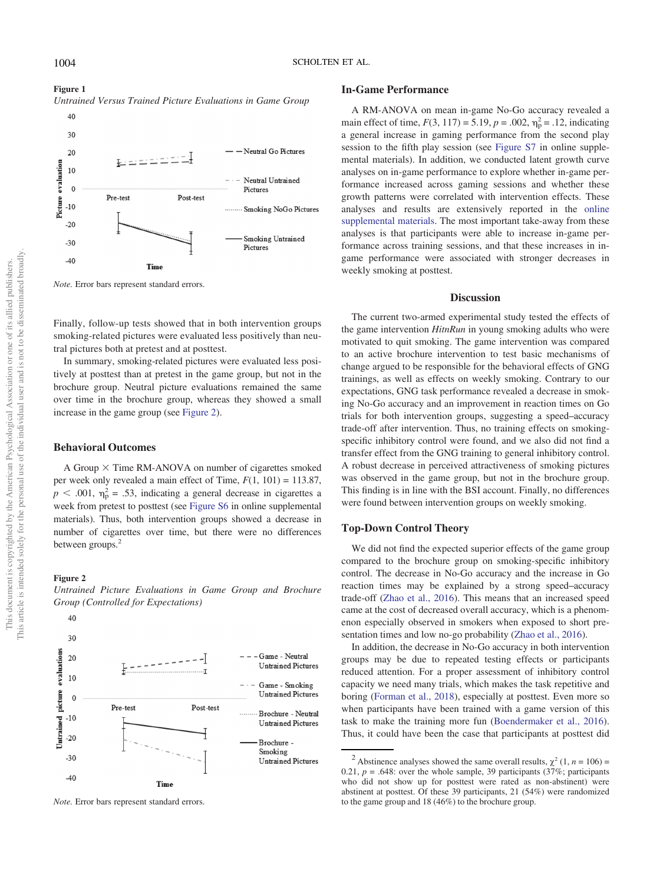<span id="page-6-0"></span>Untrained Versus Trained Picture Evaluations in Game Group  $40$ 



Note. Error bars represent standard errors.

Finally, follow-up tests showed that in both intervention groups smoking-related pictures were evaluated less positively than neutral pictures both at pretest and at posttest.

In summary, smoking-related pictures were evaluated less positively at posttest than at pretest in the game group, but not in the brochure group. Neutral picture evaluations remained the same over time in the brochure group, whereas they showed a small increase in the game group (see Figure 2).

# Behavioral Outcomes

A Group  $\times$  Time RM-ANOVA on number of cigarettes smoked per week only revealed a main effect of Time,  $F(1, 101) = 113.87$ ,  $p < .001$ ,  $\eta_p^2 = .53$ , indicating a general decrease in cigarettes a week from pretest to posttest (see [Figure S6](https://doi.org/10.1037/hea0001068.supp) in online supplemental materials). Thus, both intervention groups showed a decrease in number of cigarettes over time, but there were no differences between groups.<sup>[2](#page-6-1)</sup>

#### Figure 2



Untrained Picture Evaluations in Game Group and Brochure Group (Controlled for Expectations)

# In-Game Performance

A RM-ANOVA on mean in-game No-Go accuracy revealed a main effect of time,  $F(3, 117) = 5.19$ ,  $p = .002$ ,  $\eta_p^2 = .12$ , indicating a general increase in gaming performance from the second play session to the fifth play session (see [Figure S7](https://doi.org/10.1037/hea0001068.supp) in online supplemental materials). In addition, we conducted latent growth curve analyses on in-game performance to explore whether in-game performance increased across gaming sessions and whether these growth patterns were correlated with intervention effects. These analyses and results are extensively reported in the [online](https://doi.org/10.1037/hea0001068.supp) [supplemental materials](https://doi.org/10.1037/hea0001068.supp). The most important take-away from these analyses is that participants were able to increase in-game performance across training sessions, and that these increases in ingame performance were associated with stronger decreases in weekly smoking at posttest.

# **Discussion**

The current two-armed experimental study tested the effects of the game intervention *HitnRun* in young smoking adults who were motivated to quit smoking. The game intervention was compared to an active brochure intervention to test basic mechanisms of change argued to be responsible for the behavioral effects of GNG trainings, as well as effects on weekly smoking. Contrary to our expectations, GNG task performance revealed a decrease in smoking No-Go accuracy and an improvement in reaction times on Go trials for both intervention groups, suggesting a speed–accuracy trade-off after intervention. Thus, no training effects on smokingspecific inhibitory control were found, and we also did not find a transfer effect from the GNG training to general inhibitory control. A robust decrease in perceived attractiveness of smoking pictures was observed in the game group, but not in the brochure group. This finding is in line with the BSI account. Finally, no differences were found between intervention groups on weekly smoking.

# Top-Down Control Theory

We did not find the expected superior effects of the game group compared to the brochure group on smoking-specific inhibitory control. The decrease in No-Go accuracy and the increase in Go reaction times may be explained by a strong speed–accuracy trade-off [\(Zhao et al., 2016\)](#page-10-21). This means that an increased speed came at the cost of decreased overall accuracy, which is a phenomenon especially observed in smokers when exposed to short presentation times and low no-go probability ([Zhao et al., 2016](#page-10-21)).

In addition, the decrease in No-Go accuracy in both intervention groups may be due to repeated testing effects or participants reduced attention. For a proper assessment of inhibitory control capacity we need many trials, which makes the task repetitive and boring [\(Forman et al., 2018](#page-9-16)), especially at posttest. Even more so when participants have been trained with a game version of this task to make the training more fun [\(Boendermaker et al., 2016\)](#page-9-17). Thus, it could have been the case that participants at posttest did

Note. Error bars represent standard errors.

<span id="page-6-1"></span><sup>&</sup>lt;sup>2</sup> Abstinence analyses showed the same overall results,  $\chi^2$  (1, *n* = 106) = 0.21,  $p = .648$ : over the whole sample, 39 participants (37%; participants who did not show up for posttest were rated as non-abstinent) were abstinent at posttest. Of these 39 participants, 21 (54%) were randomized to the game group and 18 (46%) to the brochure group.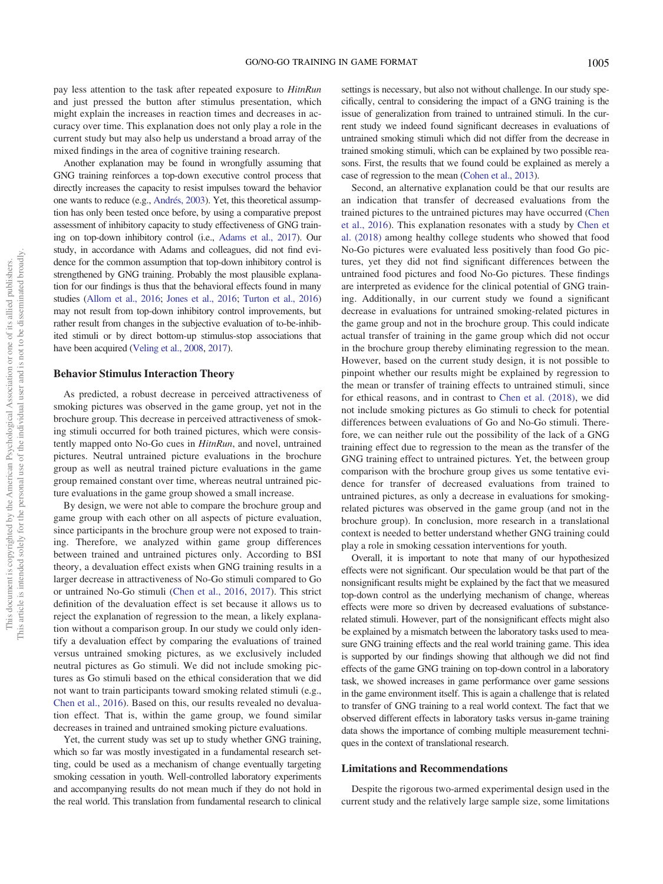pay less attention to the task after repeated exposure to HitnRun and just pressed the button after stimulus presentation, which might explain the increases in reaction times and decreases in accuracy over time. This explanation does not only play a role in the current study but may also help us understand a broad array of the mixed findings in the area of cognitive training research.

Another explanation may be found in wrongfully assuming that GNG training reinforces a top-down executive control process that directly increases the capacity to resist impulses toward the behavior one wants to reduce (e.g., [Andrés, 2003\)](#page-8-2). Yet, this theoretical assumption has only been tested once before, by using a comparative prepost assessment of inhibitory capacity to study effectiveness of GNG training on top-down inhibitory control (i.e., [Adams et al., 2017\)](#page-8-1). Our study, in accordance with Adams and colleagues, did not find evidence for the common assumption that top-down inhibitory control is strengthened by GNG training. Probably the most plausible explanation for our findings is thus that the behavioral effects found in many studies ([Allom et al., 2016;](#page-8-0) [Jones et al., 2016](#page-9-6); [Turton et al., 2016\)](#page-10-6) may not result from top-down inhibitory control improvements, but rather result from changes in the subjective evaluation of to-be-inhibited stimuli or by direct bottom-up stimulus-stop associations that have been acquired [\(Veling et al., 2008](#page-10-11), [2017\)](#page-10-7).

#### Behavior Stimulus Interaction Theory

As predicted, a robust decrease in perceived attractiveness of smoking pictures was observed in the game group, yet not in the brochure group. This decrease in perceived attractiveness of smoking stimuli occurred for both trained pictures, which were consistently mapped onto No-Go cues in HitnRun, and novel, untrained pictures. Neutral untrained picture evaluations in the brochure group as well as neutral trained picture evaluations in the game group remained constant over time, whereas neutral untrained picture evaluations in the game group showed a small increase.

By design, we were not able to compare the brochure group and game group with each other on all aspects of picture evaluation, since participants in the brochure group were not exposed to training. Therefore, we analyzed within game group differences between trained and untrained pictures only. According to BSI theory, a devaluation effect exists when GNG training results in a larger decrease in attractiveness of No-Go stimuli compared to Go or untrained No-Go stimuli ([Chen et al., 2016](#page-9-8), [2017](#page-9-9)). This strict definition of the devaluation effect is set because it allows us to reject the explanation of regression to the mean, a likely explanation without a comparison group. In our study we could only identify a devaluation effect by comparing the evaluations of trained versus untrained smoking pictures, as we exclusively included neutral pictures as Go stimuli. We did not include smoking pictures as Go stimuli based on the ethical consideration that we did not want to train participants toward smoking related stimuli (e.g., [Chen et al., 2016](#page-9-8)). Based on this, our results revealed no devaluation effect. That is, within the game group, we found similar decreases in trained and untrained smoking picture evaluations.

Yet, the current study was set up to study whether GNG training, which so far was mostly investigated in a fundamental research setting, could be used as a mechanism of change eventually targeting smoking cessation in youth. Well-controlled laboratory experiments and accompanying results do not mean much if they do not hold in the real world. This translation from fundamental research to clinical

settings is necessary, but also not without challenge. In our study specifically, central to considering the impact of a GNG training is the issue of generalization from trained to untrained stimuli. In the current study we indeed found significant decreases in evaluations of untrained smoking stimuli which did not differ from the decrease in trained smoking stimuli, which can be explained by two possible reasons. First, the results that we found could be explained as merely a case of regression to the mean [\(Cohen et al., 2013](#page-9-18)).

Second, an alternative explanation could be that our results are an indication that transfer of decreased evaluations from the trained pictures to the untrained pictures may have occurred [\(Chen](#page-9-8) [et al., 2016\)](#page-9-8). This explanation resonates with a study by [Chen et](#page-9-19) [al. \(2018\)](#page-9-19) among healthy college students who showed that food No-Go pictures were evaluated less positively than food Go pictures, yet they did not find significant differences between the untrained food pictures and food No-Go pictures. These findings are interpreted as evidence for the clinical potential of GNG training. Additionally, in our current study we found a significant decrease in evaluations for untrained smoking-related pictures in the game group and not in the brochure group. This could indicate actual transfer of training in the game group which did not occur in the brochure group thereby eliminating regression to the mean. However, based on the current study design, it is not possible to pinpoint whether our results might be explained by regression to the mean or transfer of training effects to untrained stimuli, since for ethical reasons, and in contrast to [Chen et al. \(2018\)](#page-9-19), we did not include smoking pictures as Go stimuli to check for potential differences between evaluations of Go and No-Go stimuli. Therefore, we can neither rule out the possibility of the lack of a GNG training effect due to regression to the mean as the transfer of the GNG training effect to untrained pictures. Yet, the between group comparison with the brochure group gives us some tentative evidence for transfer of decreased evaluations from trained to untrained pictures, as only a decrease in evaluations for smokingrelated pictures was observed in the game group (and not in the brochure group). In conclusion, more research in a translational context is needed to better understand whether GNG training could play a role in smoking cessation interventions for youth.

Overall, it is important to note that many of our hypothesized effects were not significant. Our speculation would be that part of the nonsignificant results might be explained by the fact that we measured top-down control as the underlying mechanism of change, whereas effects were more so driven by decreased evaluations of substancerelated stimuli. However, part of the nonsignificant effects might also be explained by a mismatch between the laboratory tasks used to measure GNG training effects and the real world training game. This idea is supported by our findings showing that although we did not find effects of the game GNG training on top-down control in a laboratory task, we showed increases in game performance over game sessions in the game environment itself. This is again a challenge that is related to transfer of GNG training to a real world context. The fact that we observed different effects in laboratory tasks versus in-game training data shows the importance of combing multiple measurement techniques in the context of translational research.

#### Limitations and Recommendations

Despite the rigorous two-armed experimental design used in the current study and the relatively large sample size, some limitations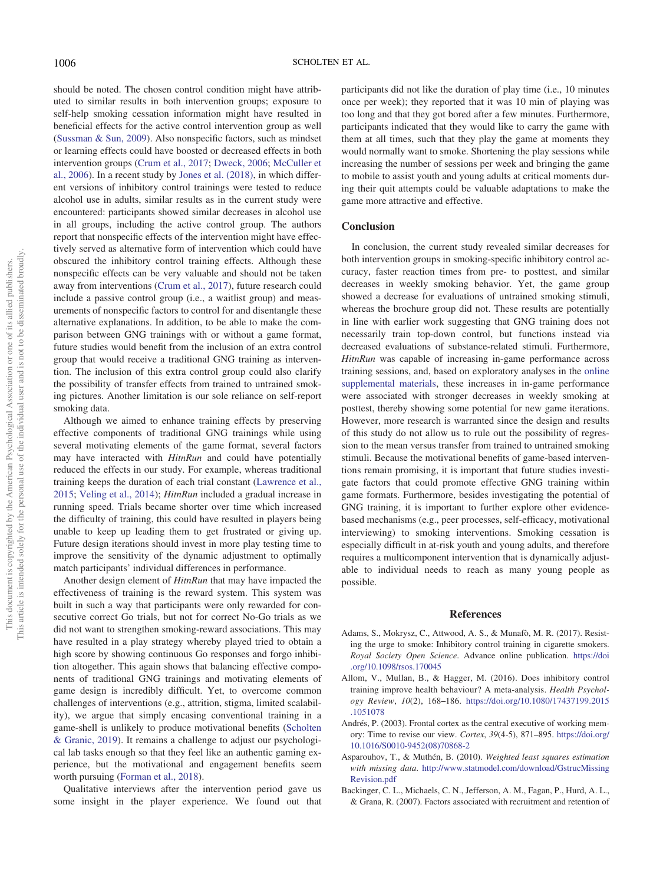should be noted. The chosen control condition might have attributed to similar results in both intervention groups; exposure to self-help smoking cessation information might have resulted in beneficial effects for the active control intervention group as well [\(Sussman & Sun, 2009](#page-10-13)). Also nonspecific factors, such as mindset or learning effects could have boosted or decreased effects in both intervention groups ([Crum et al., 2017;](#page-9-15) [Dweck, 2006;](#page-9-20) [McCuller et](#page-10-22) [al., 2006](#page-10-22)). In a recent study by [Jones et al. \(2018\),](#page-9-21) in which different versions of inhibitory control trainings were tested to reduce alcohol use in adults, similar results as in the current study were encountered: participants showed similar decreases in alcohol use in all groups, including the active control group. The authors report that nonspecific effects of the intervention might have effectively served as alternative form of intervention which could have obscured the inhibitory control training effects. Although these nonspecific effects can be very valuable and should not be taken away from interventions [\(Crum et al., 2017](#page-9-15)), future research could include a passive control group (i.e., a waitlist group) and measurements of nonspecific factors to control for and disentangle these alternative explanations. In addition, to be able to make the comparison between GNG trainings with or without a game format, future studies would benefit from the inclusion of an extra control group that would receive a traditional GNG training as intervention. The inclusion of this extra control group could also clarify the possibility of transfer effects from trained to untrained smoking pictures. Another limitation is our sole reliance on self-report smoking data.

Although we aimed to enhance training effects by preserving effective components of traditional GNG trainings while using several motivating elements of the game format, several factors may have interacted with HitnRun and could have potentially reduced the effects in our study. For example, whereas traditional training keeps the duration of each trial constant ([Lawrence et al.,](#page-10-5) [2015](#page-10-5); [Veling et al., 2014\)](#page-10-12); HitnRun included a gradual increase in running speed. Trials became shorter over time which increased the difficulty of training, this could have resulted in players being unable to keep up leading them to get frustrated or giving up. Future design iterations should invest in more play testing time to improve the sensitivity of the dynamic adjustment to optimally match participants' individual differences in performance.

Another design element of *HitnRun* that may have impacted the effectiveness of training is the reward system. This system was built in such a way that participants were only rewarded for consecutive correct Go trials, but not for correct No-Go trials as we did not want to strengthen smoking-reward associations. This may have resulted in a play strategy whereby played tried to obtain a high score by showing continuous Go responses and forgo inhibition altogether. This again shows that balancing effective components of traditional GNG trainings and motivating elements of game design is incredibly difficult. Yet, to overcome common challenges of interventions (e.g., attrition, stigma, limited scalability), we argue that simply encasing conventional training in a game-shell is unlikely to produce motivational benefits ([Scholten](#page-10-14) [& Granic, 2019](#page-10-14)). It remains a challenge to adjust our psychological lab tasks enough so that they feel like an authentic gaming experience, but the motivational and engagement benefits seem worth pursuing ([Forman et al., 2018\)](#page-9-16).

Qualitative interviews after the intervention period gave us some insight in the player experience. We found out that participants did not like the duration of play time (i.e., 10 minutes once per week); they reported that it was 10 min of playing was too long and that they got bored after a few minutes. Furthermore, participants indicated that they would like to carry the game with them at all times, such that they play the game at moments they would normally want to smoke. Shortening the play sessions while increasing the number of sessions per week and bringing the game to mobile to assist youth and young adults at critical moments during their quit attempts could be valuable adaptations to make the game more attractive and effective.

### **Conclusion**

In conclusion, the current study revealed similar decreases for both intervention groups in smoking-specific inhibitory control accuracy, faster reaction times from pre- to posttest, and similar decreases in weekly smoking behavior. Yet, the game group showed a decrease for evaluations of untrained smoking stimuli, whereas the brochure group did not. These results are potentially in line with earlier work suggesting that GNG training does not necessarily train top-down control, but functions instead via decreased evaluations of substance-related stimuli. Furthermore, HitnRun was capable of increasing in-game performance across training sessions, and, based on exploratory analyses in the [online](https://doi.org/10.1037/hea0001068.supp) [supplemental materials,](https://doi.org/10.1037/hea0001068.supp) these increases in in-game performance were associated with stronger decreases in weekly smoking at posttest, thereby showing some potential for new game iterations. However, more research is warranted since the design and results of this study do not allow us to rule out the possibility of regression to the mean versus transfer from trained to untrained smoking stimuli. Because the motivational benefits of game-based interventions remain promising, it is important that future studies investigate factors that could promote effective GNG training within game formats. Furthermore, besides investigating the potential of GNG training, it is important to further explore other evidencebased mechanisms (e.g., peer processes, self-efficacy, motivational interviewing) to smoking interventions. Smoking cessation is especially difficult in at-risk youth and young adults, and therefore requires a multicomponent intervention that is dynamically adjustable to individual needs to reach as many young people as possible.

#### References

- <span id="page-8-1"></span>Adams, S., Mokrysz, C., Attwood, A. S., & Munafò, M. R. (2017). Resisting the urge to smoke: Inhibitory control training in cigarette smokers. Royal Society Open Science. Advance online publication. [https://doi](https://doi.org/10.1098/rsos.170045) [.org/10.1098/rsos.170045](https://doi.org/10.1098/rsos.170045)
- <span id="page-8-0"></span>Allom, V., Mullan, B., & Hagger, M. (2016). Does inhibitory control training improve health behaviour? A meta-analysis. Health Psychology Review, 10(2), 168–186. [https://doi.org/10.1080/17437199.2015](https://doi.org/10.1080/17437199.2015.1051078) [.1051078](https://doi.org/10.1080/17437199.2015.1051078)
- <span id="page-8-2"></span>Andrés, P. (2003). Frontal cortex as the central executive of working memory: Time to revise our view. Cortex, 39(4-5), 871–895. [https://doi.org/](https://doi.org/10.1016/S0010-9452(08)70868-2) [10.1016/S0010-9452\(08\)70868-2](https://doi.org/10.1016/S0010-9452(08)70868-2)
- Asparouhov, T., & Muthén, B. (2010). Weighted least squares estimation with missing data. [http://www.statmodel.com/download/GstrucMissing](http://www.statmodel.com/download/GstrucMissingRevision.pdf) [Revision.pdf](http://www.statmodel.com/download/GstrucMissingRevision.pdf)
- <span id="page-8-3"></span>Backinger, C. L., Michaels, C. N., Jefferson, A. M., Fagan, P., Hurd, A. L., & Grana, R. (2007). Factors associated with recruitment and retention of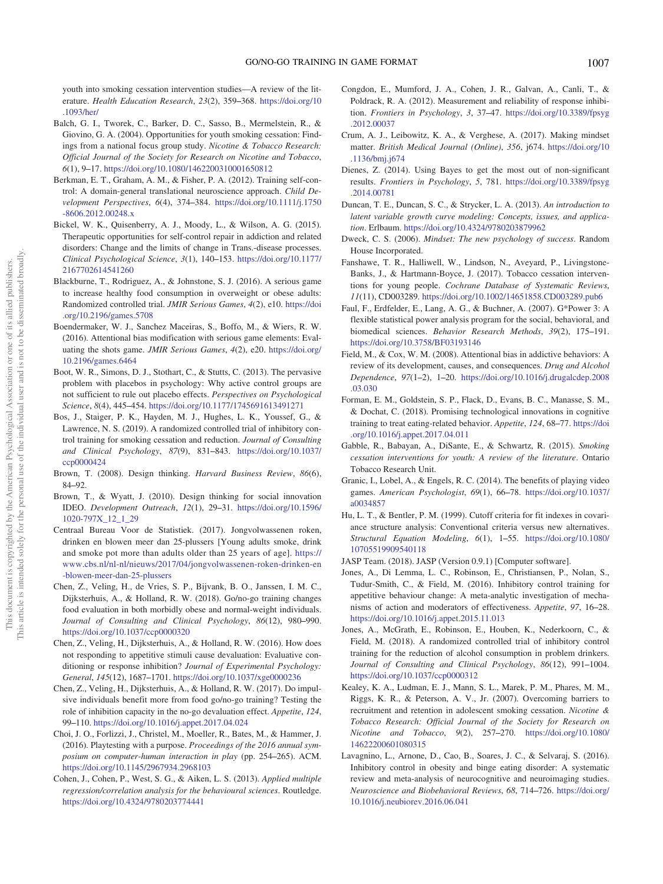youth into smoking cessation intervention studies—A review of the literature. Health Education Research, 23(2), 359–368. [https://doi.org/10](https://doi.org/10.1093/her/) [.1093/her/](https://doi.org/10.1093/her/)

- Balch, G. I., Tworek, C., Barker, D. C., Sasso, B., Mermelstein, R., & Giovino, G. A. (2004). Opportunities for youth smoking cessation: Findings from a national focus group study. Nicotine & Tobacco Research: Official Journal of the Society for Research on Nicotine and Tobacco, 6(1), 9–17. <https://doi.org/10.1080/1462200310001650812>
- <span id="page-9-10"></span>Berkman, E. T., Graham, A. M., & Fisher, P. A. (2012). Training self-control: A domain-general translational neuroscience approach. Child Development Perspectives, 6(4), 374–384. [https://doi.org/10.1111/j.1750](https://doi.org/10.1111/j.1750-8606.2012.00248.x) [-8606.2012.00248.x](https://doi.org/10.1111/j.1750-8606.2012.00248.x)
- <span id="page-9-5"></span>Bickel, W. K., Quisenberry, A. J., Moody, L., & Wilson, A. G. (2015). Therapeutic opportunities for self-control repair in addiction and related disorders: Change and the limits of change in Trans.-disease processes. Clinical Psychological Science, 3(1), 140–153. [https://doi.org/10.1177/](https://doi.org/10.1177/2167702614541260) [2167702614541260](https://doi.org/10.1177/2167702614541260)
- <span id="page-9-11"></span>Blackburne, T., Rodriguez, A., & Johnstone, S. J. (2016). A serious game to increase healthy food consumption in overweight or obese adults: Randomized controlled trial. JMIR Serious Games, 4(2), e10. [https://doi](https://doi.org/10.2196/games.5708) [.org/10.2196/games.5708](https://doi.org/10.2196/games.5708)
- <span id="page-9-17"></span>Boendermaker, W. J., Sanchez Maceiras, S., Boffo, M., & Wiers, R. W. (2016). Attentional bias modification with serious game elements: Evaluating the shots game. JMIR Serious Games, 4(2), e20. [https://doi.org/](https://doi.org/10.2196/games.6464) [10.2196/games.6464](https://doi.org/10.2196/games.6464)
- <span id="page-9-13"></span>Boot, W. R., Simons, D. J., Stothart, C., & Stutts, C. (2013). The pervasive problem with placebos in psychology: Why active control groups are not sufficient to rule out placebo effects. Perspectives on Psychological Science, 8(4), 445–454. <https://doi.org/10.1177/1745691613491271>
- <span id="page-9-7"></span>Bos, J., Staiger, P. K., Hayden, M. J., Hughes, L. K., Youssef, G., & Lawrence, N. S. (2019). A randomized controlled trial of inhibitory control training for smoking cessation and reduction. Journal of Consulting and Clinical Psychology, 87(9), 831–843. [https://doi.org/10.1037/](https://doi.org/10.1037/ccp0000424) [ccp0000424](https://doi.org/10.1037/ccp0000424)
- Brown, T. (2008). Design thinking. Harvard Business Review, 86(6), 84–92.
- Brown, T., & Wyatt, J. (2010). Design thinking for social innovation IDEO. Development Outreach, 12(1), 29–31. [https://doi.org/10.1596/](https://doi.org/10.1596/1020-797X_12_1_29) [1020-797X\\_12\\_1\\_29](https://doi.org/10.1596/1020-797X_12_1_29)
- <span id="page-9-0"></span>Centraal Bureau Voor de Statistiek. (2017). Jongvolwassenen roken, drinken en blowen meer dan 25-plussers [Young adults smoke, drink and smoke pot more than adults older than 25 years of age]. [https://](https://www.cbs.nl/nl-nl/nieuws/2017/04/jongvolwassenen-roken-drinken-en-blowen-meer-dan-25-plussers) [www.cbs.nl/nl-nl/nieuws/2017/04/jongvolwassenen-roken-drinken-en](https://www.cbs.nl/nl-nl/nieuws/2017/04/jongvolwassenen-roken-drinken-en-blowen-meer-dan-25-plussers) [-blowen-meer-dan-25-plussers](https://www.cbs.nl/nl-nl/nieuws/2017/04/jongvolwassenen-roken-drinken-en-blowen-meer-dan-25-plussers)
- <span id="page-9-19"></span>Chen, Z., Veling, H., de Vries, S. P., Bijvank, B. O., Janssen, I. M. C., Dijksterhuis, A., & Holland, R. W. (2018). Go/no-go training changes food evaluation in both morbidly obese and normal-weight individuals. Journal of Consulting and Clinical Psychology, 86(12), 980–990. <https://doi.org/10.1037/ccp0000320>
- <span id="page-9-8"></span>Chen, Z., Veling, H., Dijksterhuis, A., & Holland, R. W. (2016). How does not responding to appetitive stimuli cause devaluation: Evaluative conditioning or response inhibition? Journal of Experimental Psychology: General, 145(12), 1687–1701. <https://doi.org/10.1037/xge0000236>
- <span id="page-9-9"></span>Chen, Z., Veling, H., Dijksterhuis, A., & Holland, R. W. (2017). Do impulsive individuals benefit more from food go/no-go training? Testing the role of inhibition capacity in the no-go devaluation effect. Appetite, 124, 99–110. <https://doi.org/10.1016/j.appet.2017.04.024>
- Choi, J. O., Forlizzi, J., Christel, M., Moeller, R., Bates, M., & Hammer, J. (2016). Playtesting with a purpose. Proceedings of the 2016 annual symposium on computer-human interaction in play (pp. 254–265). ACM. <https://doi.org/10.1145/2967934.2968103>
- <span id="page-9-18"></span>Cohen, J., Cohen, P., West, S. G., & Aiken, L. S. (2013). Applied multiple regression/correlation analysis for the behavioural sciences. Routledge. <https://doi.org/10.4324/9780203774441>
- Congdon, E., Mumford, J. A., Cohen, J. R., Galvan, A., Canli, T., & Poldrack, R. A. (2012). Measurement and reliability of response inhibition. Frontiers in Psychology, 3, 37–47. [https://doi.org/10.3389/fpsyg](https://doi.org/10.3389/fpsyg.2012.00037) [.2012.00037](https://doi.org/10.3389/fpsyg.2012.00037)
- <span id="page-9-15"></span>Crum, A. J., Leibowitz, K. A., & Verghese, A. (2017). Making mindset matter. British Medical Journal (Online), 356, j674. [https://doi.org/10](https://doi.org/10.1136/bmj.j674) [.1136/bmj.j674](https://doi.org/10.1136/bmj.j674)
- Dienes, Z. (2014). Using Bayes to get the most out of non-significant results. Frontiers in Psychology, 5, 781. [https://doi.org/10.3389/fpsyg](https://doi.org/10.3389/fpsyg.2014.00781) [.2014.00781](https://doi.org/10.3389/fpsyg.2014.00781)
- Duncan, T. E., Duncan, S. C., & Strycker, L. A. (2013). An introduction to latent variable growth curve modeling: Concepts, issues, and application. Erlbaum. <https://doi.org/10.4324/9780203879962>
- <span id="page-9-20"></span>Dweck, C. S. (2006). Mindset: The new psychology of success. Random House Incorporated.
- <span id="page-9-1"></span>Fanshawe, T. R., Halliwell, W., Lindson, N., Aveyard, P., Livingstone-Banks, J., & Hartmann-Boyce, J. (2017). Tobacco cessation interventions for young people. Cochrane Database of Systematic Reviews, 11(11), CD003289. <https://doi.org/10.1002/14651858.CD003289.pub6>
- <span id="page-9-14"></span>Faul, F., Erdfelder, E., Lang, A. G., & Buchner, A. (2007). G\*Power 3: A flexible statistical power analysis program for the social, behavioral, and biomedical sciences. Behavior Research Methods, 39(2), 175–191. <https://doi.org/10.3758/BF03193146>
- <span id="page-9-3"></span>Field, M., & Cox, W. M. (2008). Attentional bias in addictive behaviors: A review of its development, causes, and consequences. Drug and Alcohol Dependence, 97(1–2), 1–20. [https://doi.org/10.1016/j.drugalcdep.2008](https://doi.org/10.1016/j.drugalcdep.2008.03.030) [.03.030](https://doi.org/10.1016/j.drugalcdep.2008.03.030)
- <span id="page-9-16"></span>Forman, E. M., Goldstein, S. P., Flack, D., Evans, B. C., Manasse, S. M., & Dochat, C. (2018). Promising technological innovations in cognitive training to treat eating-related behavior. Appetite, 124, 68–77. [https://doi](https://doi.org/10.1016/j.appet.2017.04.011) [.org/10.1016/j.appet.2017.04.011](https://doi.org/10.1016/j.appet.2017.04.011)
- <span id="page-9-2"></span>Gabble, R., Babayan, A., DiSante, E., & Schwartz, R. (2015). Smoking cessation interventions for youth: A review of the literature. Ontario Tobacco Research Unit.
- <span id="page-9-12"></span>Granic, I., Lobel, A., & Engels, R. C. (2014). The benefits of playing video games. American Psychologist, 69(1), 66–78. [https://doi.org/10.1037/](https://doi.org/10.1037/a0034857) [a0034857](https://doi.org/10.1037/a0034857)
- Hu, L. T., & Bentler, P. M. (1999). Cutoff criteria for fit indexes in covariance structure analysis: Conventional criteria versus new alternatives. Structural Equation Modeling, 6(1), 1–55. [https://doi.org/10.1080/](https://doi.org/10.1080/10705519909540118) [10705519909540118](https://doi.org/10.1080/10705519909540118)
- JASP Team. (2018). JASP (Version 0.9.1) [Computer software].
- <span id="page-9-6"></span>Jones, A., Di Lemma, L. C., Robinson, E., Christiansen, P., Nolan, S., Tudur-Smith, C., & Field, M. (2016). Inhibitory control training for appetitive behaviour change: A meta-analytic investigation of mechanisms of action and moderators of effectiveness. Appetite, 97, 16–28. <https://doi.org/10.1016/j.appet.2015.11.013>
- <span id="page-9-21"></span>Jones, A., McGrath, E., Robinson, E., Houben, K., Nederkoorn, C., & Field, M. (2018). A randomized controlled trial of inhibitory control training for the reduction of alcohol consumption in problem drinkers. Journal of Consulting and Clinical Psychology, 86(12), 991–1004. <https://doi.org/10.1037/ccp0000312>
- Kealey, K. A., Ludman, E. J., Mann, S. L., Marek, P. M., Phares, M. M., Riggs, K. R., & Peterson, A. V., Jr. (2007). Overcoming barriers to recruitment and retention in adolescent smoking cessation. Nicotine & Tobacco Research: Official Journal of the Society for Research on Nicotine and Tobacco, 9(2), 257–270. [https://doi.org/10.1080/](https://doi.org/10.1080/14622200601080315) [14622200601080315](https://doi.org/10.1080/14622200601080315)
- <span id="page-9-4"></span>Lavagnino, L., Arnone, D., Cao, B., Soares, J. C., & Selvaraj, S. (2016). Inhibitory control in obesity and binge eating disorder: A systematic review and meta-analysis of neurocognitive and neuroimaging studies. Neuroscience and Biobehavioral Reviews, 68, 714–726. [https://doi.org/](https://doi.org/10.1016/j.neubiorev.2016.06.041) [10.1016/j.neubiorev.2016.06.041](https://doi.org/10.1016/j.neubiorev.2016.06.041)